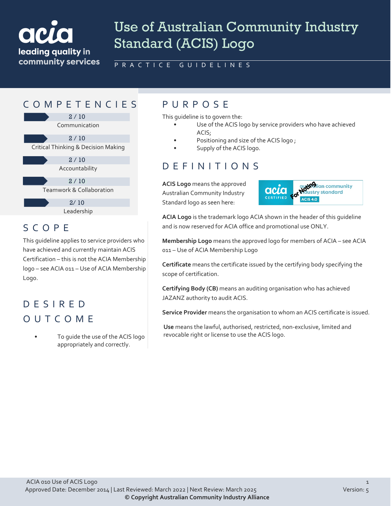

# Use of Australian Community Industry Standard (ACIS) Logo

PRACTICE GUIDELINES

### COMPETENCIES PURPOS E

Communication 2 / 10 Critical Thinking & Decision Making 2 / 10 Accountability 2 / 10

> Teamwork & Collaboration  $2/10$

> > Leadership  $2/10$

## SCOPE

This guideline applies to service providers who have achieved and currently maintain ACIS Certification – this is not the ACIA Membership logo – see ACIA 011 – Use of ACIA Membership Logo.

## DESIRED OUTCOME

• To guide the use of the ACIS logo appropriately and correctly.

This guideline is to govern the:

- Use of the ACIS logo by service providers who have achieved ACIS;
- Positioning and size of the ACIS logo ;
- Supply of the ACIS logo.

## DEFINITIONS

**ACIS Logo** means the approved Australian Community Industry Standard logo as seen here:



**ACIA Logo** is the trademark logo ACIA shown in the header of this guideline and is now reserved for ACIA office and promotional use ONLY.

**Membership Logo** means the approved logo for members of ACIA – see ACIA 011 – Use of ACIA Membership Logo

**Certificate** means the certificate issued by the certifying body specifying the scope of certification.

**Certifying Body (CB)** means an auditing organisation who has achieved JAZANZ authority to audit ACIS.

**Service Provider** means the organisation to whom an ACIS certificate is issued.

**Use** means the lawful, authorised, restricted, non-exclusive, limited and revocable right or license to use the ACIS logo.